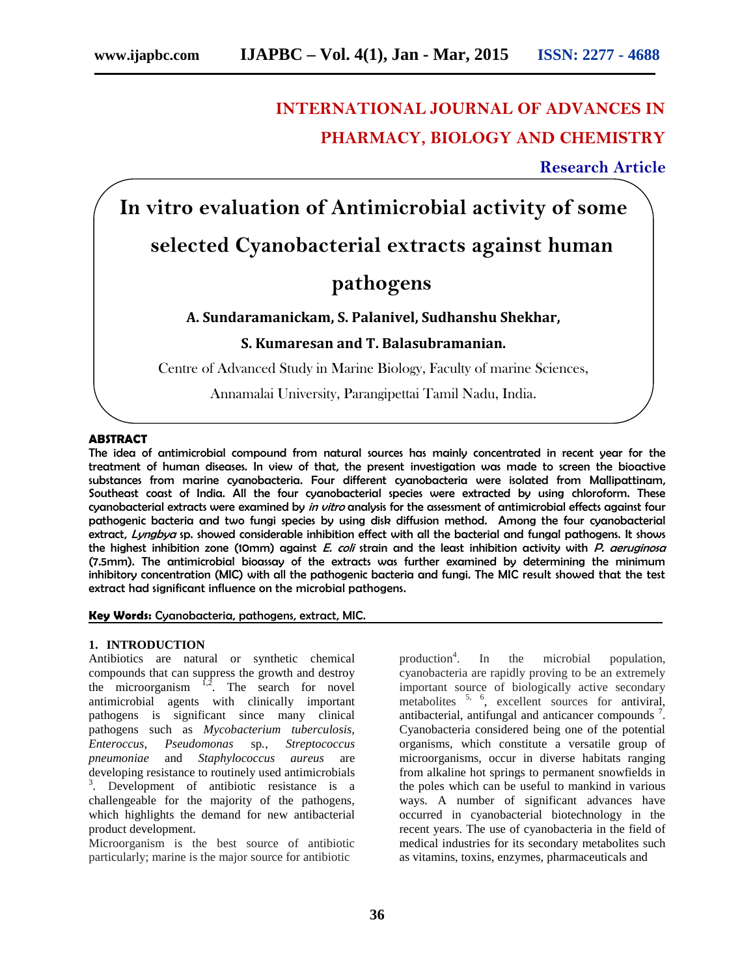# **INTERNATIONAL JOURNAL OF ADVANCES IN PHARMACY, BIOLOGY AND CHEMISTRY**

**Research Article**

**In vitro evaluation of Antimicrobial activity of some**

## **selected Cyanobacterial extracts against human**

# **pathogens**

## **A. Sundaramanickam, S. Palanivel, Sudhanshu Shekhar,**

## **S. Kumaresan and T. Balasubramanian.**

Centre of Advanced Study in Marine Biology, Faculty of marine Sciences,

Annamalai University, Parangipettai Tamil Nadu, India.

## **ABSTRACT**

The idea of antimicrobial compound from natural sources has mainly concentrated in recent year for the treatment of human diseases. In view of that, the present investigation was made to screen the bioactive substances from marine cyanobacteria. Four different cyanobacteria were isolated from Mallipattinam, Southeast coast of India. All the four cyanobacterial species were extracted by using chloroform. These cyanobacterial extracts were examined by *in vitro* analysis for the assessment of antimicrobial effects against four pathogenic bacteria and two fungi species by using disk diffusion method. Among the four cyanobacterial extract, *Lyngbya* sp. showed considerable inhibition effect with all the bacterial and fungal pathogens. It shows the highest inhibition zone (10mm) against *E. coli* strain and the least inhibition activity with *P. aeruginosa* (7.5mm). The antimicrobial bioassay of the extracts was further examined by determining the minimum inhibitory concentration (MIC) with all the pathogenic bacteria and fungi. The MIC result showed that the test extract had significant influence on the microbial pathogens.

### **Key Words:** Cyanobacteria, pathogens, extract, MIC.

## **1. INTRODUCTION**

Antibiotics are natural or synthetic chemical compounds that can suppress the growth and destroy the microorganism  $^2$ . The search for novel antimicrobial agents with clinically important pathogens is significant since many clinical pathogens such as *Mycobacterium tuberculosis*, *Enteroccus*, *Pseudomonas* sp*.*, *Streptococcus pneumoniae* and *Staphylococcus aureus* are developing resistance to routinely used antimicrobials <sup>3</sup>. Development of antibiotic resistance is a challengeable for the majority of the pathogens, which highlights the demand for new antibacterial product development.

Microorganism is the best source of antibiotic particularly; marine is the major source for antibiotic

production<sup>4</sup>. In the microbial population, cyanobacteria are rapidly proving to be an extremely important source of biologically active secondary metabolites <sup>5, 6</sup>, excellent sources for antiviral, antibacterial, antifungal and anticancer compounds<sup>7</sup>. Cyanobacteria considered being one of the potential organisms, which constitute a versatile group of microorganisms, occur in diverse habitats ranging from alkaline hot springs to permanent snowfields in the poles which can be useful to mankind in various ways. A number of significant advances have occurred in cyanobacterial biotechnology in the recent years. The use of cyanobacteria in the field of medical industries for its secondary metabolites such as vitamins, toxins, enzymes, pharmaceuticals and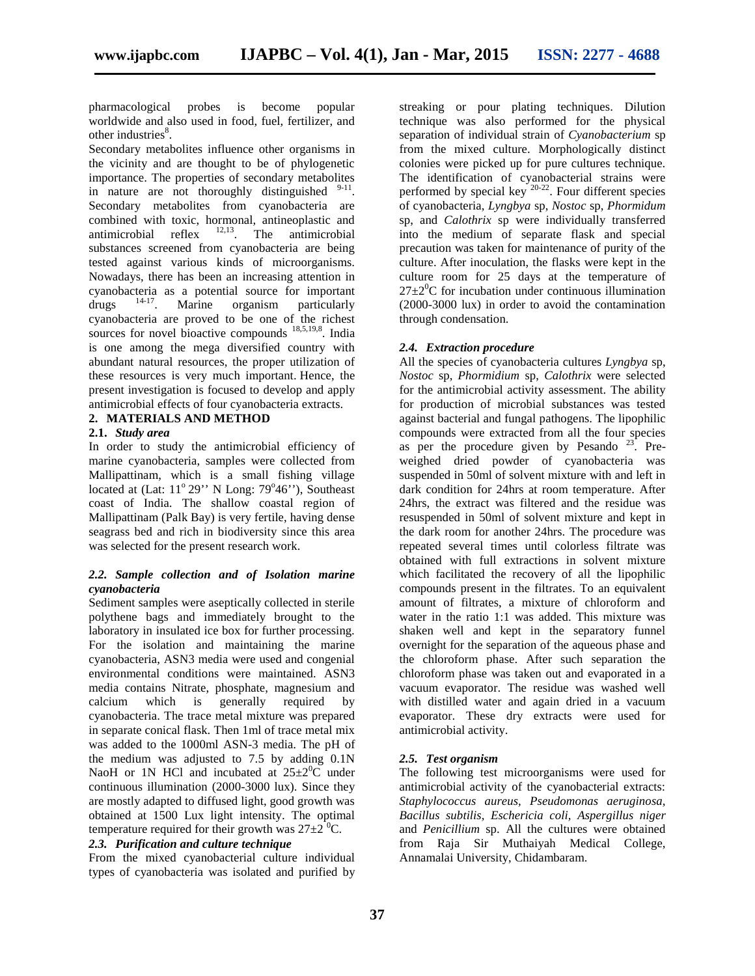pharmacological probes is become popular worldwide and also used in food, fuel, fertilizer, and other industries<sup>8</sup>.

Secondary metabolites influence other organisms in the vicinity and are thought to be of phylogenetic importance. The properties of secondary metabolites in nature are not thoroughly distinguished  $9-11$ . Secondary metabolites from cyanobacteria are combined with toxic, hormonal, antineoplastic and antimicrobial reflex  $12,13$ . The antimicrobial substances screened from cyanobacteria are being tested against various kinds of microorganisms. Nowadays, there has been an increasing attention in cyanobacteria as a potential source for important drugs  $\frac{14-17}{14}$ . Marine organism particularly  $drugs$   $14-17$ . organism particularly cyanobacteria are proved to be one of the richest sources for novel bioactive compounds <sup>18,5,19,8</sup>. India is one among the mega diversified country with abundant natural resources, the proper utilization of these resources is very much important. Hence, the present investigation is focused to develop and apply antimicrobial effects of four cyanobacteria extracts.

### **2. MATERIALS AND METHOD**

### **2.1.** *Study area*

In order to study the antimicrobial efficiency of marine cyanobacteria, samples were collected from Mallipattinam, which is a small fishing village located at (Lat:  $11^{\circ}$  29" N Long:  $79^{\circ}46$ "), Southeast coast of India. The shallow coastal region of Mallipattinam (Palk Bay) is very fertile, having dense seagrass bed and rich in biodiversity since this area was selected for the present research work.

## *2.2. Sample collection and of Isolation marine cyanobacteria*

Sediment samples were aseptically collected in sterile polythene bags and immediately brought to the laboratory in insulated ice box for further processing. For the isolation and maintaining the marine cyanobacteria, ASN3 media were used and congenial environmental conditions were maintained. ASN3 media contains Nitrate, phosphate, magnesium and calcium which is generally required by cyanobacteria. The trace metal mixture was prepared in separate conical flask. Then 1ml of trace metal mix was added to the 1000ml ASN-3 media. The pH of the medium was adjusted to 7.5 by adding 0.1N NaoH or 1N HCl and incubated at  $25\pm2\degree$ C under continuous illumination (2000-3000 lux). Since they are mostly adapted to diffused light, good growth was obtained at 1500 Lux light intensity. The optimal temperature required for their growth was  $27\pm2~^0C$ .

### *2.3. Purification and culture technique*

From the mixed cyanobacterial culture individual types of cyanobacteria was isolated and purified by

streaking or pour plating techniques. Dilution technique was also performed for the physical separation of individual strain of *Cyanobacterium* sp from the mixed culture. Morphologically distinct colonies were picked up for pure cultures technique. The identification of cyanobacterial strains were performed by special key  $20-22$ . Four different species of cyanobacteria, *Lyngbya* sp, *Nostoc* sp,*Phormidum* sp, and *Calothrix* sp were individually transferred into the medium of separate flask and special precaution was taken for maintenance of purity of the culture. After inoculation, the flasks were kept in the culture room for 25 days at the temperature of  $27\pm2\degree$ C for incubation under continuous illumination (2000-3000 lux) in order to avoid the contamination through condensation.

## *2.4. Extraction procedure*

All the species of cyanobacteria cultures *Lyngbya* sp, *Nostoc* sp, *Phormidium* sp, *Calothrix* were selected for the antimicrobial activity assessment. The ability for production of microbial substances was tested against bacterial and fungal pathogens. The lipophilic compounds were extracted from all the four species as per the procedure given by Pesando  $23$ . Preweighed dried powder of cyanobacteria was suspended in 50ml of solvent mixture with and left in dark condition for 24hrs at room temperature. After 24hrs, the extract was filtered and the residue was resuspended in 50ml of solvent mixture and kept in the dark room for another 24hrs. The procedure was repeated several times until colorless filtrate was obtained with full extractions in solvent mixture which facilitated the recovery of all the lipophilic compounds present in the filtrates. To an equivalent amount of filtrates, a mixture of chloroform and water in the ratio 1:1 was added. This mixture was shaken well and kept in the separatory funnel overnight for the separation of the aqueous phase and the chloroform phase. After such separation the chloroform phase was taken out and evaporated in a vacuum evaporator. The residue was washed well with distilled water and again dried in a vacuum evaporator. These dry extracts were used for antimicrobial activity.

## *2.5. Test organism*

The following test microorganisms were used for antimicrobial activity of the cyanobacterial extracts: *Staphylococcus aureus, Pseudomonas aeruginosa, Bacillus subtilis, Eschericia coli, Aspergillus niger* and *Penicillium* sp. All the cultures were obtained from Raja Sir Muthaiyah Medical College, Annamalai University, Chidambaram.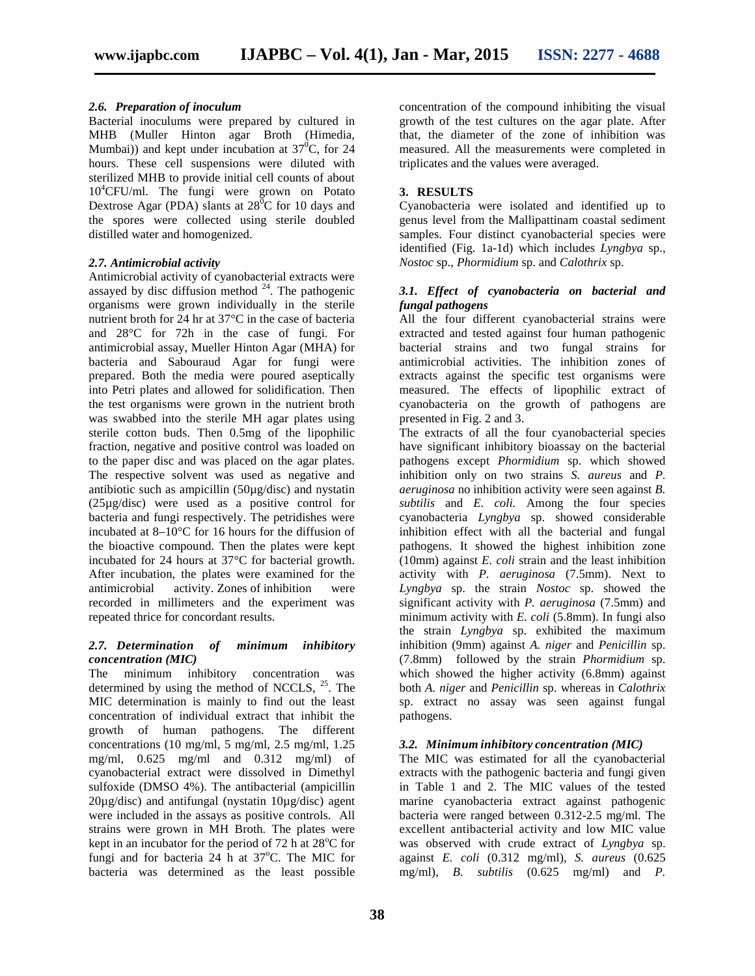## *2.6. Preparation of inoculum*

Bacterial inoculums were prepared by cultured in MHB (Muller Hinton agar Broth (Himedia, Mumbai)) and kept under incubation at  $37^{\circ}$ C, for 24 hours. These cell suspensions were diluted with sterilized MHB to provide initial cell counts of about 10<sup>4</sup>CFU/ml. The fungi were grown on Potato Dextrose Agar (PDA) slants at  $28^{\circ}$ C for 10 days and the spores were collected using sterile doubled distilled water and homogenized.

## *2.7. Antimicrobial activity*

Antimicrobial activity of cyanobacterial extracts were assayed by disc diffusion method  $24$ . The pathogenic organisms were grown individually in the sterile nutrient broth for 24 hr at 37°C in the case of bacteria and 28°C for 72h in the case of fungi. For antimicrobial assay, Mueller Hinton Agar (MHA) for bacteria and Sabouraud Agar for fungi were prepared. Both the media were poured aseptically into Petri plates and allowed for solidification. Then the test organisms were grown in the nutrient broth was swabbed into the sterile MH agar plates using sterile cotton buds. Then 0.5mg of the lipophilic fraction, negative and positive control was loaded on to the paper disc and was placed on the agar plates. The respective solvent was used as negative and antibiotic such as ampicillin (50µg/disc) and nystatin (25µg/disc) were used as a positive control for bacteria and fungi respectively. The petridishes were incubated at 8–10°C for 16 hours for the diffusion of the bioactive compound. Then the plates were kept incubated for 24 hours at 37°C for bacterial growth. After incubation, the plates were examined for the antimicrobial activity. Zones of inhibition were recorded in millimeters and the experiment was repeated thrice for concordant results.

## *2.7. Determination of minimum inhibitory concentration (MIC)*

The minimum inhibitory concentration was determined by using the method of NCCLS,  $^{25}$ . The MIC determination is mainly to find out the least concentration of individual extract that inhibit the growth of human pathogens. The different concentrations (10 mg/ml, 5 mg/ml, 2.5 mg/ml, 1.25 mg/ml, 0.625 mg/ml and 0.312 mg/ml) of cyanobacterial extract were dissolved in Dimethyl sulfoxide (DMSO 4%). The antibacterial (ampicillin  $20\mu$ g/disc) and antifungal (nystatin  $10\mu$ g/disc) agent were included in the assays as positive controls. All strains were grown in MH Broth. The plates were kept in an incubator for the period of  $72$  h at  $28^{\circ}$ C for fungi and for bacteria  $24$  h at  $37^{\circ}$ C. The MIC for bacteria was determined as the least possible

concentration of the compound inhibiting the visual growth of the test cultures on the agar plate. After that, the diameter of the zone of inhibition was measured. All the measurements were completed in triplicates and the values were averaged.

## **3. RESULTS**

Cyanobacteria were isolated and identified up to genus level from the Mallipattinam coastal sediment samples. Four distinct cyanobacterial species were identified (Fig. 1a-1d) which includes *Lyngbya* sp.,*Nostoc* sp., *Phormidium* sp. and *Calothrix* sp.

## *3.1. Effect of cyanobacteria on bacterial and fungal pathogens*

All the four different cyanobacterial strains were extracted and tested against four human pathogenic bacterial strains and two fungal strains for antimicrobial activities. The inhibition zones of extracts against the specific test organisms were measured. The effects of lipophilic extract of cyanobacteria on the growth of pathogens are presented in Fig.2 and 3.

The extracts of all the four cyanobacterial species have significant inhibitory bioassay on the bacterial pathogens except *Phormidium* sp. which showed inhibition only on two strains *S. aureus* and *P. aeruginosa* no inhibition activity were seen against *B. subtilis* and *E. coli.* Among the four species cyanobacteria *Lyngbya* sp. showed considerable inhibition effect with all the bacterial and fungal pathogens. It showed the highest inhibition zone (10mm) against *E. coli* strain and the least inhibition activity with *P. aeruginosa* (7.5mm). Next to *Lyngbya* sp. the strain *Nostoc* sp. showed the significant activity with *P. aeruginosa* (7.5mm) and minimum activity with *E. coli* (5.8mm). In fungi also the strain *Lyngbya* sp. exhibited the maximum inhibition (9mm) against *A. niger* and *Penicillin* sp. (7.8mm) followed by the strain *Phormidium* sp. which showed the higher activity (6.8mm) against both *A. niger* and *Penicillin* sp. whereas in *Calothrix* sp. extract no assay was seen against fungal pathogens.

## *3.2. Minimum inhibitory concentration (MIC)*

The MIC was estimated for all the cyanobacterial extracts with the pathogenic bacteria and fungi given in Table 1 and 2. The MIC values of the tested marine cyanobacteria extract against pathogenic bacteria were ranged between 0.312-2.5 mg/ml. The excellent antibacterial activity and low MIC value was observed with crude extract of *Lyngbya* sp. against *E. coli* (0.312 mg/ml), *S. aureus* (0.625 mg/ml), *B. subtilis* (0.625 mg/ml) and *P.*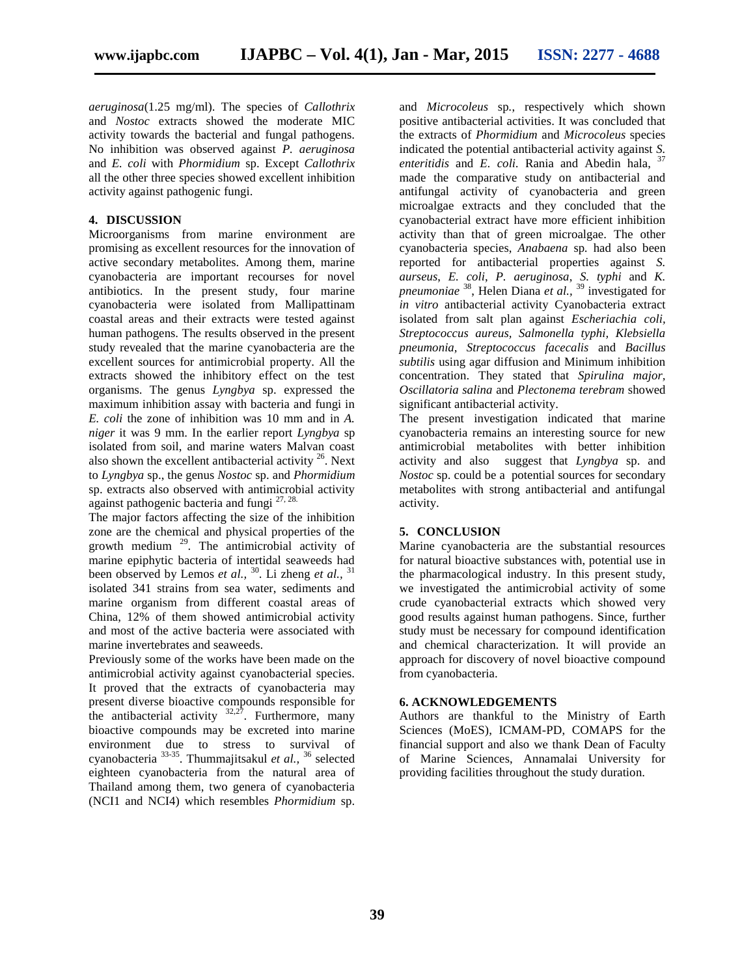*aeruginosa*(1.25 mg/ml). The species of *Callothrix* and *Nostoc* extracts showed the moderate MIC activity towards the bacterial and fungal pathogens. No inhibition was observed against *P. aeruginosa* and *E. coli* with *Phormidium* sp. Except *Callothrix* all the other three species showed excellent inhibition activity against pathogenic fungi.

## **4. DISCUSSION**

Microorganisms from marine environment are promising as excellent resources for the innovation of active secondary metabolites. Among them, marine cyanobacteria are important recourses for novel antibiotics. In the present study, four marine cyanobacteria were isolated from Mallipattinam coastal areas and their extracts were tested against human pathogens. The results observed in the present study revealed that the marine cyanobacteria are the excellent sources for antimicrobial property. All the extracts showed the inhibitory effect on the test organisms. The genus *Lyngbya* sp. expressed the maximum inhibition assay with bacteria and fungi in *E. coli* the zone of inhibition was 10 mm and in *A. niger* it was 9 mm. In the earlier report *Lyngbya* sp isolated from soil, and marine waters Malvan coast also shown the excellent antibacterial activity <sup>26</sup>. Next to *Lyngbya* sp., the genus *Nostoc* sp.and *Phormidium* sp. extracts also observed with antimicrobial activity against pathogenic bacteria and fungi 27, 28.

The major factors affecting the size of the inhibition zone are the chemical and physical properties of the growth medium <sup>29</sup> . The antimicrobial activity of marine epiphytic bacteria of intertidal seaweeds had been observed by Lemos *et al.*, <sup>30</sup>. Li zheng *et al.*, <sup>31</sup> isolated 341 strains from sea water, sediments and marine organism from different coastal areas of China, 12% of them showed antimicrobial activity and most of the active bacteria were associated with marine invertebrates and seaweeds.

Previously some of the works have been made on the antimicrobial activity against cyanobacterial species. It proved that the extracts of cyanobacteria may present diverse bioactive compounds responsible for the antibacterial activity  $32.27$ . Furthermore, many bioactive compounds may be excreted into marine environment due to stress to survival of cyanobacteria 33-35 . Thummajitsakul *et al.,* <sup>36</sup> selected eighteen cyanobacteria from the natural area of Thailand among them, two genera of cyanobacteria (NCI1 and NCI4) which resembles *Phormidium* sp.

and *Microcoleus* sp*.*, respectively which shown positive antibacterial activities. It was concluded that the extracts of *Phormidium* and *Microcoleus* species indicated the potential antibacterial activity against *S. enteritidis* and *E. coli.* Rania and Abedin hala, <sup>37</sup> made the comparative study on antibacterial and antifungal activity of cyanobacteria and green microalgae extracts and they concluded that the cyanobacterial extract have more efficient inhibition activity than that of green microalgae. The other cyanobacteria species, *Anabaena* sp*.* had also been reported for antibacterial properties against *S. aurseus*, *E. coli*, *P. aeruginosa*, *S. typhi* and *K. pneumoniae* <sup>38</sup> , Helen Diana *et al.,* <sup>39</sup> investigated for *in vitro* antibacterial activity Cyanobacteria extract isolated from salt plan against *Escheriachia coli, Streptococcus aureus, Salmonella typhi, Klebsiella pneumonia, Streptococcus facecalis* and *Bacillus subtilis* using agar diffusion and Minimum inhibition concentration. They stated that *Spirulina major, Oscillatoria salina* and *Plectonema terebram* showed significant antibacterial activity.

The present investigation indicated that marine cyanobacteria remains an interesting source for new antimicrobial metabolites with better inhibition activity and also suggest that *Lyngbya* sp.and *Nostoc* sp.could be a potential sources for secondary metabolites with strong antibacterial and antifungal activity.

## **5. CONCLUSION**

Marine cyanobacteria are the substantial resources for natural bioactive substances with, potential use in the pharmacological industry. In this present study, we investigated the antimicrobial activity of some crude cyanobacterial extracts which showed very good results against human pathogens. Since, further study must be necessary for compound identification and chemical characterization. It will provide an approach for discovery of novel bioactive compound from cyanobacteria.

## **6. ACKNOWLEDGEMENTS**

Authors are thankful to the Ministry of Earth Sciences (MoES), ICMAM-PD, COMAPS for the financial support and also we thank Dean of Faculty of Marine Sciences, Annamalai University for providing facilities throughout the study duration.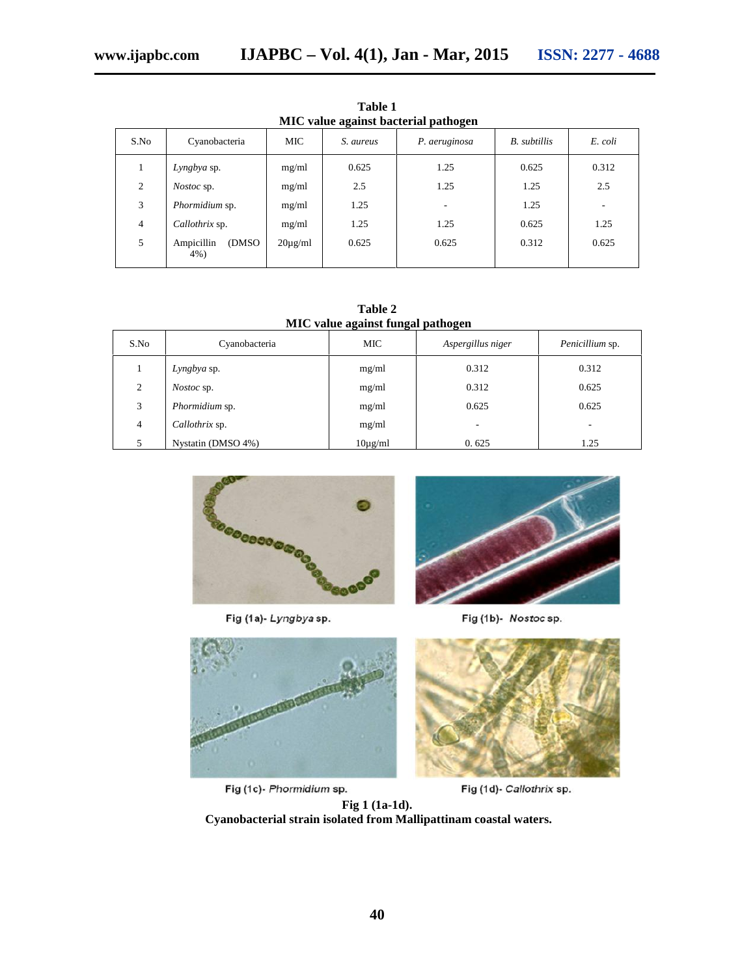| MIC value against bacterial pathogen |                             |              |           |               |              |         |  |  |
|--------------------------------------|-----------------------------|--------------|-----------|---------------|--------------|---------|--|--|
| S.No                                 | Cyanobacteria               | <b>MIC</b>   | S. aureus | P. aeruginosa | B. subtillis | E. coli |  |  |
|                                      | Lyngbya sp.                 | mg/ml        | 0.625     | 1.25          | 0.625        | 0.312   |  |  |
| $\overline{c}$                       | <i>Nostoc</i> sp.           | mg/ml        | 2.5       | 1.25          | 1.25         | 2.5     |  |  |
| 3                                    | Phormidium sp.              | mg/ml        | 1.25      |               | 1.25         |         |  |  |
| 4                                    | Callothrix sp.              | mg/ml        | 1.25      | 1.25          | 0.625        | 1.25    |  |  |
| 5                                    | Ampicillin<br>(DMSO)<br>4%) | $20\mu$ g/ml | 0.625     | 0.625         | 0.312        | 0.625   |  |  |

**Table 1**

**Table 2 MIC value against fungal pathogen**

|                |                    | $\tilde{}$<br>$\tilde{}$ | $\tilde{}$        |                 |
|----------------|--------------------|--------------------------|-------------------|-----------------|
| S.No           | Cyanobacteria      | <b>MIC</b>               | Aspergillus niger | Penicillium sp. |
|                | Lyngbya sp.        | mg/ml                    | 0.312             | 0.312           |
| $\overline{c}$ | <i>Nostoc</i> sp.  | mg/ml                    | 0.312             | 0.625           |
| 3              | Phormidium sp.     | mg/ml                    | 0.625             | 0.625           |
| $\overline{4}$ | Callothrix sp.     | mg/ml                    |                   | ۰               |
|                | Nystatin (DMSO 4%) | $10\mu$ g/ml             | 0.625             | 1.25            |



Fig (1a)-Lyngbyasp.



Fig (1b)- Nostoc sp.



Fig (1c)- Phormidium sp.



Fig (1d)- Callothrix sp.

**Fig 1 (1a-1d). Cyanobacterial strain isolated from Mallipattinam coastal waters.**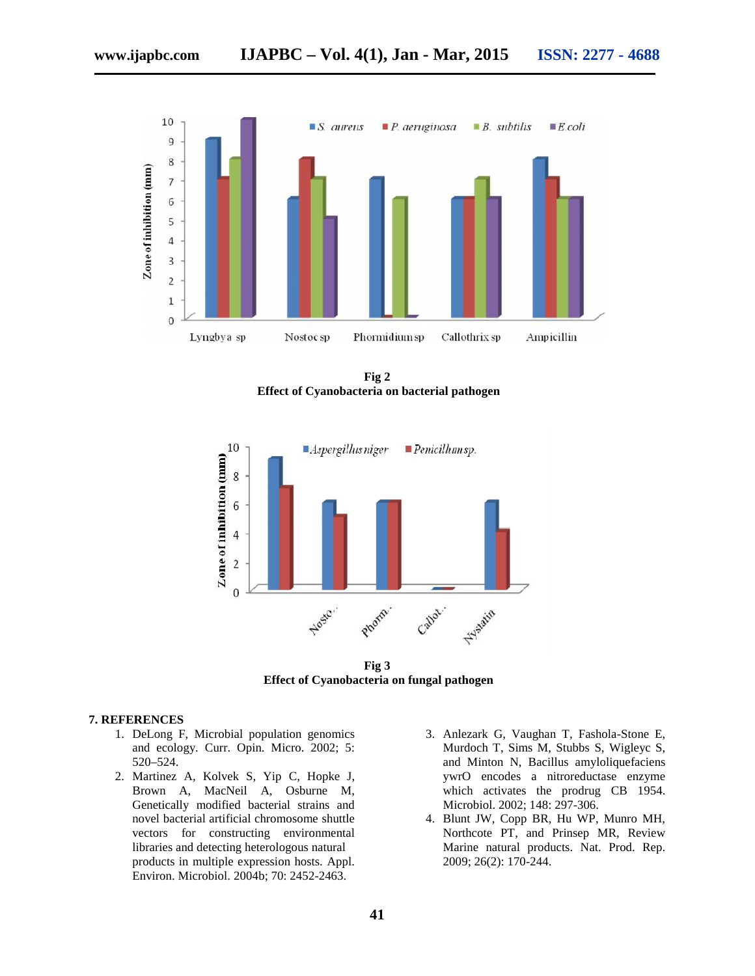

**Fig 2 Effect of Cyanobacteria on bacterial pathogen**



**Fig 3 Effect of Cyanobacteria on fungal pathogen**

## **7. REFERENCES**

- 1. DeLong F, Microbial population genomics and ecology. Curr. Opin. Micro. 2002; 5: 520–524.
- 2. Martinez A, Kolvek S, Yip C, Hopke J, Brown A, MacNeil A, Osburne M, Genetically modified bacterial strains and novel bacterial artificial chromosome shuttle vectors for constructing environmental libraries and detecting heterologous natural products in multiple expression hosts. Appl. Environ. Microbiol. 2004b; 70: 2452-2463.
- 3. Anlezark G, Vaughan T, Fashola-Stone E, Murdoch T, Sims M, Stubbs S, Wigleyc S, and Minton N, Bacillus amyloliquefaciens ywrO encodes a nitroreductase enzyme which activates the prodrug CB 1954. Microbiol. 2002; 148: 297-306.
- 4. Blunt JW, Copp BR, Hu WP, Munro MH, Northcote PT, and Prinsep MR, Review Marine natural products. Nat. Prod. Rep. 2009; 26(2): 170-244.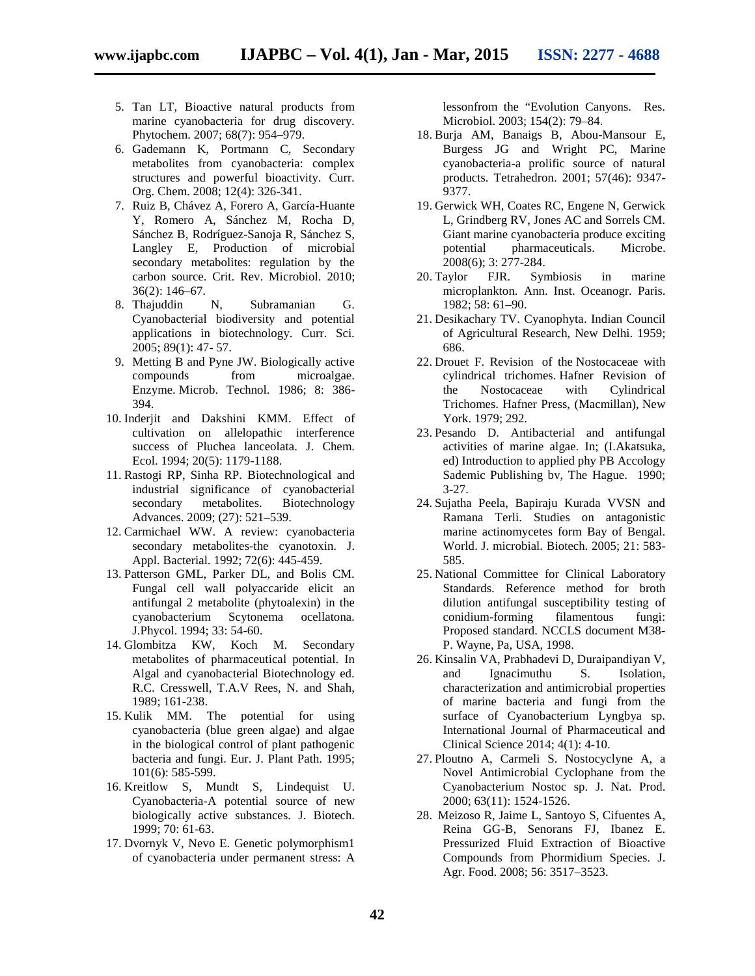- 5. Tan LT, Bioactive natural products from marine cyanobacteria for drug discovery. Phytochem. 2007; 68(7): 954–979.
- 6. Gademann K, Portmann C, Secondary metabolites from cyanobacteria: complex structures and powerful bioactivity. Curr. Org. Chem. 2008; 12(4): 326-341.
- 7. Ruiz B, Chávez A, Forero A, García-Huante Y, Romero A, Sánchez M, Rocha D, Sánchez B, Rodríguez-Sanoja R, Sánchez S, Langley E, Production of microbial secondary metabolites: regulation by the carbon source. Crit. Rev. Microbiol. 2010; 36(2): 146–67.<br>Thajuddin N,
- 8. Thajuddin N, Subramanian G. Cyanobacterial biodiversity and potential applications in biotechnology. Curr. Sci. 2005; 89(1): 47- 57.
- 9. Metting B and Pyne JW. Biologically active compounds from microalgae. Enzyme. Microb. Technol. 1986; 8: 386- 394.
- 10. Inderjit and Dakshini KMM. Effect of cultivation on allelopathic interference success of Pluchea lanceolata. J. Chem. Ecol. 1994; 20(5): 1179-1188.
- 11. Rastogi RP, Sinha RP. Biotechnological and industrial significance of cyanobacterial secondary metabolites. Biotechnology Advances. 2009; (27): 521–539.
- 12. Carmichael WW. A review: cyanobacteria secondary metabolites-the cyanotoxin. J. Appl. Bacterial. 1992; 72(6): 445-459.
- 13. Patterson GML, Parker DL, and Bolis CM. Fungal cell wall polyaccaride elicit an antifungal 2 metabolite (phytoalexin) in the cyanobacterium Scytonema ocellatona. J.Phycol. 1994; 33: 54-60.
- 14. Glombitza KW, Koch M. Secondary metabolites of pharmaceutical potential. In Algal and cyanobacterial Biotechnology ed. R.C. Cresswell, T.A.V Rees, N. and Shah, 1989; 161-238.
- 15. Kulik MM. The potential for using cyanobacteria (blue green algae) and algae in the biological control of plant pathogenic bacteria and fungi. Eur. J. Plant Path. 1995; 101(6): 585-599.
- 16. Kreitlow S, Mundt S, Lindequist U. Cyanobacteria-A potential source of new biologically active substances. J. Biotech. 1999; 70: 61-63.
- 17. Dvornyk V, Nevo E. Genetic polymorphism1 of cyanobacteria under permanent stress: A

lessonfrom the "Evolution Canyons. Res. Microbiol. 2003; 154(2): 79–84.

- 18. Burja AM, Banaigs B, Abou-Mansour E, Burgess JG and Wright PC, Marine cyanobacteria-a prolific source of natural products. Tetrahedron. 2001; 57(46): 9347- 9377.
- 19. Gerwick WH, Coates RC, Engene N, Gerwick L, Grindberg RV, Jones AC and Sorrels CM. Giant marine cyanobacteria produce exciting potential pharmaceuticals. Microbe. 2008(6); 3: 277-284.
- 20. Taylor FJR. Symbiosis in marine microplankton. Ann. Inst. Oceanogr. Paris. 1982; 58: 61–90.
- 21. Desikachary TV. Cyanophyta. Indian Council of Agricultural Research, New Delhi. 1959; 686.
- 22. Drouet F. Revision of the Nostocaceae with cylindrical trichomes. Hafner Revision of the Nostocaceae with Cylindrical Trichomes. Hafner Press, (Macmillan), New York. 1979; 292.
- 23. Pesando D. Antibacterial and antifungal activities of marine algae. In; (I.Akatsuka, ed) Introduction to applied phy PB Accology Sademic Publishing bv, The Hague. 1990; 3-27.
- 24. Sujatha Peela, Bapiraju Kurada VVSN and Ramana Terli. Studies on antagonistic marine actinomycetes form Bay of Bengal. World. J. microbial. Biotech. 2005; 21: 583- 585.
- 25. National Committee for Clinical Laboratory Standards. Reference method for broth dilution antifungal susceptibility testing of conidium-forming filamentous fungi: Proposed standard. NCCLS document M38- P. Wayne, Pa, USA, 1998.
- 26. Kinsalin VA, Prabhadevi D, Duraipandiyan V, and Ignacimuthu S. Isolation, characterization and antimicrobial properties of marine bacteria and fungi from the surface of Cyanobacterium Lyngbya sp. International Journal of Pharmaceutical and Clinical Science 2014; 4(1): 4-10.
- 27. Ploutno A, Carmeli S. Nostocyclyne A, a Novel Antimicrobial Cyclophane from the Cyanobacterium Nostoc sp. J. Nat. Prod. 2000; 63(11): 1524-1526.
- 28. Meizoso R, Jaime L, Santoyo S, Cifuentes A, Reina GG-B, Senorans FJ, Ibanez E. Pressurized Fluid Extraction of Bioactive Compounds from Phormidium Species. J. Agr. Food. 2008; 56: 3517–3523.